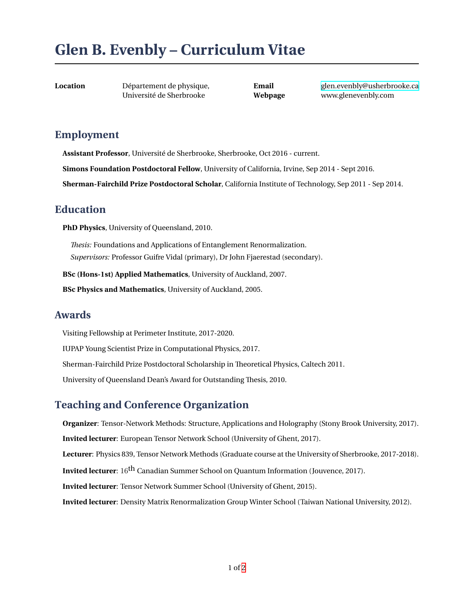# **Glen B. Evenbly – Curriculum Vitae**

**Location** Département de physique, Université de Sherbrooke

**Email** [glen.evenbly@usherbrooke.ca](mailto:glen.evenbly@usherbrooke.ca) **Webpage** www.glenevenbly.com

#### **Employment**

**Assistant Professor**, Université de Sherbrooke, Sherbrooke, Oct 2016 - current.

**Simons Foundation Postdoctoral Fellow**, University of California, Irvine, Sep 2014 - Sept 2016.

**Sherman-Fairchild Prize Postdoctoral Scholar**, California Institute of Technology, Sep 2011 - Sep 2014.

#### **Education**

**PhD Physics**, University of Queensland, 2010.

*Thesis:* Foundations and Applications of Entanglement Renormalization. *Supervisors:* Professor Guifre Vidal (primary), Dr John Fjaerestad (secondary).

**BSc (Hons-1st) Applied Mathematics**, University of Auckland, 2007.

**BSc Physics and Mathematics**, University of Auckland, 2005.

#### **Awards**

Visiting Fellowship at Perimeter Institute, 2017-2020. IUPAP Young Scientist Prize in Computational Physics, 2017.

Sherman-Fairchild Prize Postdoctoral Scholarship in Theoretical Physics, Caltech 2011.

University of Queensland Dean's Award for Outstanding Thesis, 2010.

# **Teaching and Conference Organization**

**Organizer**: Tensor-Network Methods: Structure, Applications and Holography (Stony Brook University, 2017). **Invited lecturer**: European Tensor Network School (University of Ghent, 2017). **Lecturer**: Physics 839, Tensor Network Methods (Graduate course at the University of Sherbrooke, 2017-2018). **Invited lecturer**: 16<sup>th</sup> Canadian Summer School on Quantum Information (Jouvence, 2017). **Invited lecturer**: Tensor Network Summer School (University of Ghent, 2015). **Invited lecturer**: Density Matrix Renormalization Group Winter School (Taiwan National University, 2012).